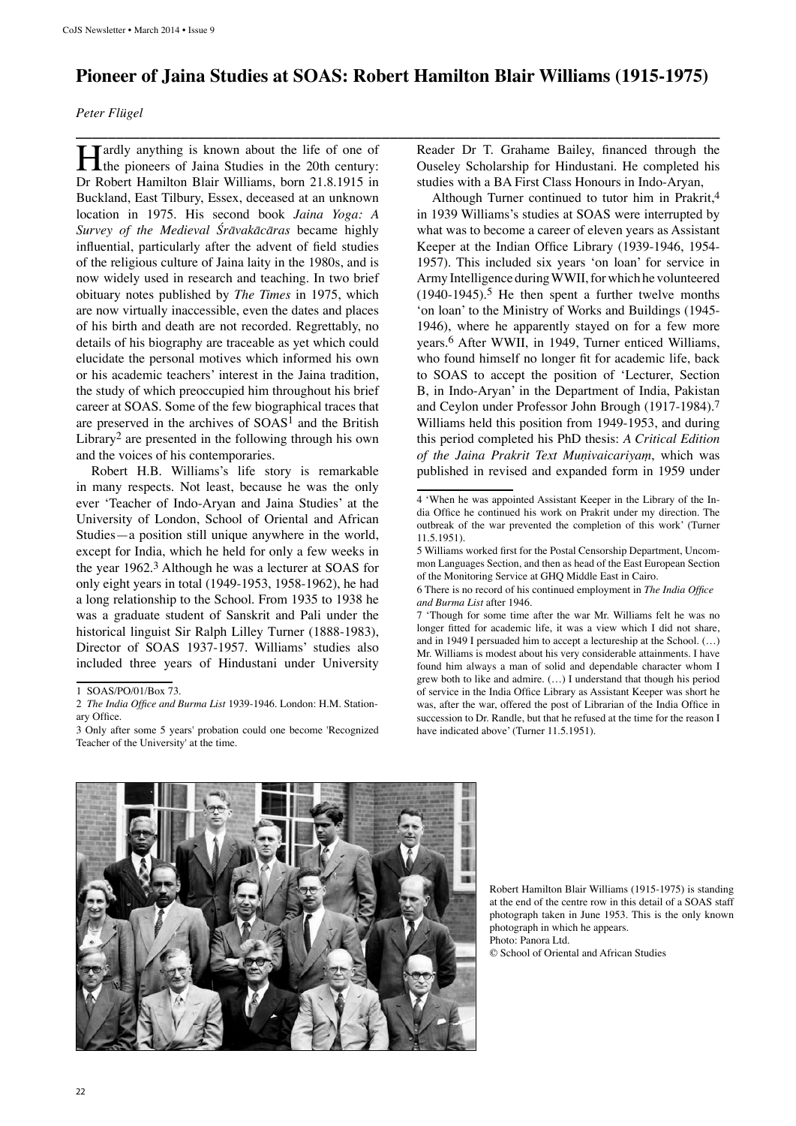## **Pioneer of Jaina Studies at SOAS: Robert Hamilton Blair Williams (1915-1975)**

**\_\_\_\_\_\_\_\_\_\_\_\_\_\_\_\_\_\_\_\_\_\_\_\_\_\_\_\_\_\_\_\_\_\_\_\_\_\_\_\_\_\_\_\_\_\_\_\_\_\_\_\_\_\_\_\_\_\_\_\_\_\_\_\_\_\_\_\_\_\_\_\_\_\_\_\_\_\_\_\_**

## *Peter Flügel*

**Hardly anything is known about the life of one of** the pioneers of Jaina Studies in the 20th century: Dr Robert Hamilton Blair Williams, born 21.8.1915 in Buckland, East Tilbury, Essex, deceased at an unknown location in 1975. His second book *Jaina Yoga: A Survey of the Medieval Śrāvakācāras* became highly influential, particularly after the advent of field studies of the religious culture of Jaina laity in the 1980s, and is now widely used in research and teaching. In two brief obituary notes published by *The Times* in 1975, which are now virtually inaccessible, even the dates and places of his birth and death are not recorded. Regrettably, no details of his biography are traceable as yet which could elucidate the personal motives which informed his own or his academic teachers' interest in the Jaina tradition, the study of which preoccupied him throughout his brief career at SOAS. Some of the few biographical traces that are preserved in the archives of  $SOAS<sup>1</sup>$  and the British Library2 are presented in the following through his own and the voices of his contemporaries.

Robert H.B. Williams's life story is remarkable in many respects. Not least, because he was the only ever 'Teacher of Indo-Aryan and Jaina Studies' at the University of London, School of Oriental and African Studies—a position still unique anywhere in the world, except for India, which he held for only a few weeks in the year 1962.3 Although he was a lecturer at SOAS for only eight years in total (1949-1953, 1958-1962), he had a long relationship to the School. From 1935 to 1938 he was a graduate student of Sanskrit and Pali under the historical linguist Sir Ralph Lilley Turner (1888-1983), Director of SOAS 1937-1957. Williams' studies also included three years of Hindustani under University Reader Dr T. Grahame Bailey, financed through the Ouseley Scholarship for Hindustani. He completed his studies with a BA First Class Honours in Indo-Aryan,

Although Turner continued to tutor him in Prakrit,4 in 1939 Williams's studies at SOAS were interrupted by what was to become a career of eleven years as Assistant Keeper at the Indian Office Library (1939-1946, 1954- 1957). This included six years 'on loan' for service in Army Intelligence during WWII, for which he volunteered  $(1940-1945)$ .<sup>5</sup> He then spent a further twelve months 'on loan' to the Ministry of Works and Buildings (1945- 1946), where he apparently stayed on for a few more years.6 After WWII, in 1949, Turner enticed Williams, who found himself no longer fit for academic life, back to SOAS to accept the position of 'Lecturer, Section B, in Indo-Aryan' in the Department of India, Pakistan and Ceylon under Professor John Brough (1917-1984).7 Williams held this position from 1949-1953, and during this period completed his PhD thesis: *A Critical Edition of the Jaina Prakrit Text Muṇivaicariyaṃ*, which was published in revised and expanded form in 1959 under

<sup>7</sup> 'Though for some time after the war Mr. Williams felt he was no longer fitted for academic life, it was a view which I did not share, and in 1949 I persuaded him to accept a lectureship at the School. (…) Mr. Williams is modest about his very considerable attainments. I have found him always a man of solid and dependable character whom I grew both to like and admire. (…) I understand that though his period of service in the India Office Library as Assistant Keeper was short he was, after the war, offered the post of Librarian of the India Office in succession to Dr. Randle, but that he refused at the time for the reason I have indicated above' (Turner 11.5.1951).



Robert Hamilton Blair Williams (1915-1975) is standing at the end of the centre row in this detail of a SOAS staff photograph taken in June 1953. This is the only known photograph in which he appears. Photo: Panora Ltd.

© School of Oriental and African Studies

<sup>1</sup> SOAS/PO/01/Box 73.

<sup>2</sup> *The India Office and Burma List* 1939-1946. London: H.M. Stationary Office.

<sup>3</sup> Only after some 5 years' probation could one become 'Recognized Teacher of the University' at the time.

<sup>4 &#</sup>x27;When he was appointed Assistant Keeper in the Library of the India Office he continued his work on Prakrit under my direction. The outbreak of the war prevented the completion of this work' (Turner 11.5.1951).

<sup>5</sup> Williams worked first for the Postal Censorship Department, Uncommon Languages Section, and then as head of the East European Section of the Monitoring Service at GHQ Middle East in Cairo.

<sup>6</sup> There is no record of his continued employment in *The India Office and Burma List* after 1946.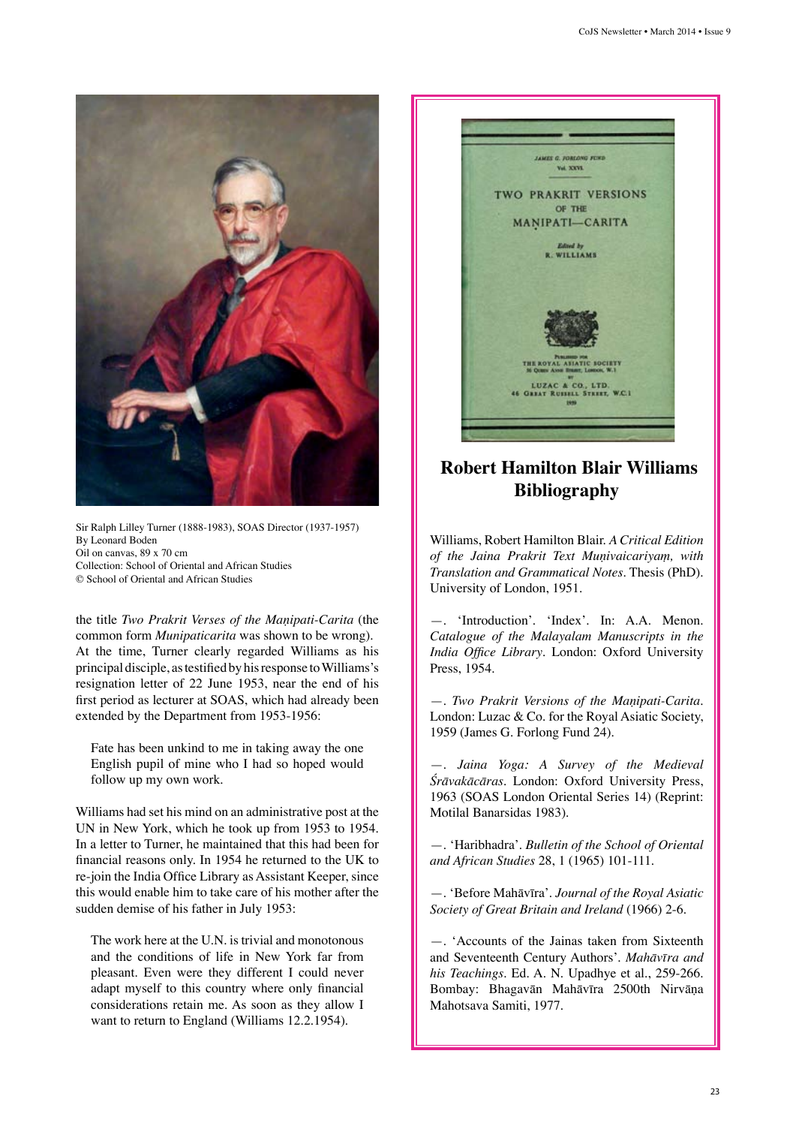

Sir Ralph Lilley Turner (1888-1983), SOAS Director (1937-1957) By Leonard Boden Oil on canvas, 89 x 70 cm Collection: School of Oriental and African Studies © School of Oriental and African Studies

the title *Two Prakrit Verses of the Maṇipati-Carita* (the common form *Munipaticarita* was shown to be wrong). At the time, Turner clearly regarded Williams as his principal disciple, as testified by his response to Williams's resignation letter of 22 June 1953, near the end of his first period as lecturer at SOAS, which had already been extended by the Department from 1953-1956:

Fate has been unkind to me in taking away the one English pupil of mine who I had so hoped would follow up my own work.

Williams had set his mind on an administrative post at the UN in New York, which he took up from 1953 to 1954. In a letter to Turner, he maintained that this had been for financial reasons only. In 1954 he returned to the UK to re-join the India Office Library as Assistant Keeper, since this would enable him to take care of his mother after the sudden demise of his father in July 1953:

The work here at the U.N. is trivial and monotonous and the conditions of life in New York far from pleasant. Even were they different I could never adapt myself to this country where only financial considerations retain me. As soon as they allow I want to return to England (Williams 12.2.1954).



## **Robert Hamilton Blair Williams Bibliography**

Williams, Robert Hamilton Blair. *A Critical Edition of the Jaina Prakrit Text Muṇivaicariyaṃ, with Translation and Grammatical Notes*. Thesis (PhD). University of London, 1951.

—. 'Introduction'. 'Index'. In: A.A. Menon. *Catalogue of the Malayalam Manuscripts in the India Office Library*. London: Oxford University Press, 1954.

—. *Two Prakrit Versions of the Maṇipati-Carita*. London: Luzac & Co. for the Royal Asiatic Society, 1959 (James G. Forlong Fund 24).

—. *Jaina Yoga: A Survey of the Medieval Śrāvakācāras*. London: Oxford University Press, 1963 (SOAS London Oriental Series 14) (Reprint: Motilal Banarsidas 1983).

—. 'Haribhadra'. *Bulletin of the School of Oriental and African Studies* 28, 1 (1965) 101-111.

—. 'Before Mahāvīra'. *Journal of the Royal Asiatic Society of Great Britain and Ireland* (1966) 2-6.

—. 'Accounts of the Jainas taken from Sixteenth and Seventeenth Century Authors'. *Mahāvīra and his Teachings*. Ed. A. N. Upadhye et al., 259-266. Bombay: Bhagavān Mahāvīra 2500th Nirvāṇa Mahotsava Samiti, 1977.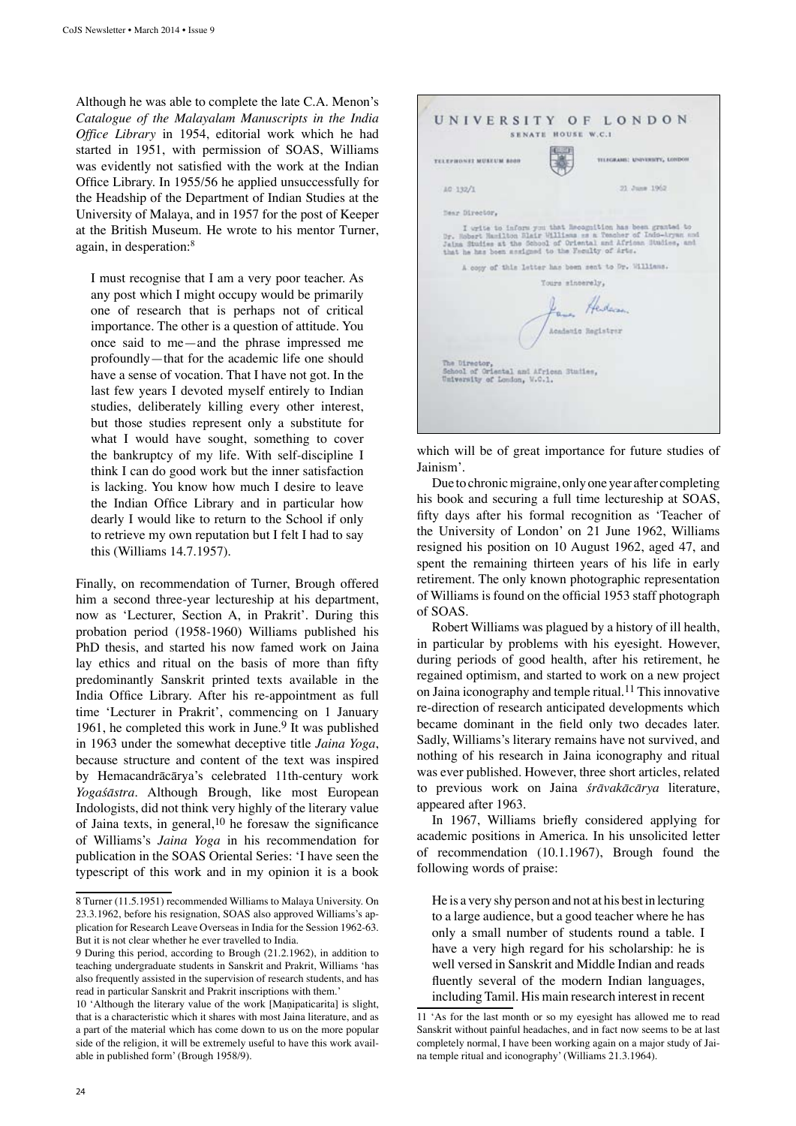Although he was able to complete the late C.A. Menon's *Catalogue of the Malayalam Manuscripts in the India Office Library* in 1954, editorial work which he had started in 1951, with permission of SOAS, Williams was evidently not satisfied with the work at the Indian Office Library. In 1955/56 he applied unsuccessfully for the Headship of the Department of Indian Studies at the University of Malaya, and in 1957 for the post of Keeper at the British Museum. He wrote to his mentor Turner, again, in desperation:<sup>8</sup>

I must recognise that I am a very poor teacher. As any post which I might occupy would be primarily one of research that is perhaps not of critical importance. The other is a question of attitude. You once said to me—and the phrase impressed me profoundly—that for the academic life one should have a sense of vocation. That I have not got. In the last few years I devoted myself entirely to Indian studies, deliberately killing every other interest, but those studies represent only a substitute for what I would have sought, something to cover the bankruptcy of my life. With self-discipline I think I can do good work but the inner satisfaction is lacking. You know how much I desire to leave the Indian Office Library and in particular how dearly I would like to return to the School if only to retrieve my own reputation but I felt I had to say this (Williams 14.7.1957).

Finally, on recommendation of Turner, Brough offered him a second three-year lectureship at his department, now as 'Lecturer, Section A, in Prakrit'. During this probation period (1958-1960) Williams published his PhD thesis, and started his now famed work on Jaina lay ethics and ritual on the basis of more than fifty predominantly Sanskrit printed texts available in the India Office Library. After his re-appointment as full time 'Lecturer in Prakrit', commencing on 1 January 1961, he completed this work in June.<sup>9</sup> It was published in 1963 under the somewhat deceptive title *Jaina Yoga*, because structure and content of the text was inspired by Hemacandrācārya's celebrated 11th-century work *Yogaśāstra*. Although Brough, like most European Indologists, did not think very highly of the literary value of Jaina texts, in general,  $10$  he foresaw the significance of Williams's *Jaina Yoga* in his recommendation for publication in the SOAS Oriental Series: 'I have seen the typescript of this work and in my opinion it is a book



which will be of great importance for future studies of Jainism'.

Due to chronic migraine, only one year after completing his book and securing a full time lectureship at SOAS, fifty days after his formal recognition as 'Teacher of the University of London' on 21 June 1962, Williams resigned his position on 10 August 1962, aged 47, and spent the remaining thirteen years of his life in early retirement. The only known photographic representation of Williams is found on the official 1953 staff photograph of SOAS.

Robert Williams was plagued by a history of ill health, in particular by problems with his eyesight. However, during periods of good health, after his retirement, he regained optimism, and started to work on a new project on Jaina iconography and temple ritual.11 This innovative re-direction of research anticipated developments which became dominant in the field only two decades later. Sadly, Williams's literary remains have not survived, and nothing of his research in Jaina iconography and ritual was ever published. However, three short articles, related to previous work on Jaina *śrāvakācārya* literature, appeared after 1963.

In 1967, Williams briefly considered applying for academic positions in America. In his unsolicited letter of recommendation (10.1.1967), Brough found the following words of praise:

He is a very shy person and not at his best in lecturing to a large audience, but a good teacher where he has only a small number of students round a table. I have a very high regard for his scholarship: he is well versed in Sanskrit and Middle Indian and reads fluently several of the modern Indian languages, including Tamil. His main research interest in recent

<sup>8</sup> Turner (11.5.1951) recommended Williams to Malaya University. On 23.3.1962, before his resignation, SOAS also approved Williams's application for Research Leave Overseas in India for the Session 1962-63. But it is not clear whether he ever travelled to India.

<sup>9</sup> During this period, according to Brough (21.2.1962), in addition to teaching undergraduate students in Sanskrit and Prakrit, Williams 'has also frequently assisted in the supervision of research students, and has read in particular Sanskrit and Prakrit inscriptions with them.'

<sup>10 &#</sup>x27;Although the literary value of the work [Maṇipaticarita] is slight, that is a characteristic which it shares with most Jaina literature, and as a part of the material which has come down to us on the more popular side of the religion, it will be extremely useful to have this work available in published form' (Brough 1958/9).

<sup>11 &#</sup>x27;As for the last month or so my eyesight has allowed me to read Sanskrit without painful headaches, and in fact now seems to be at last completely normal, I have been working again on a major study of Jaina temple ritual and iconography' (Williams 21.3.1964).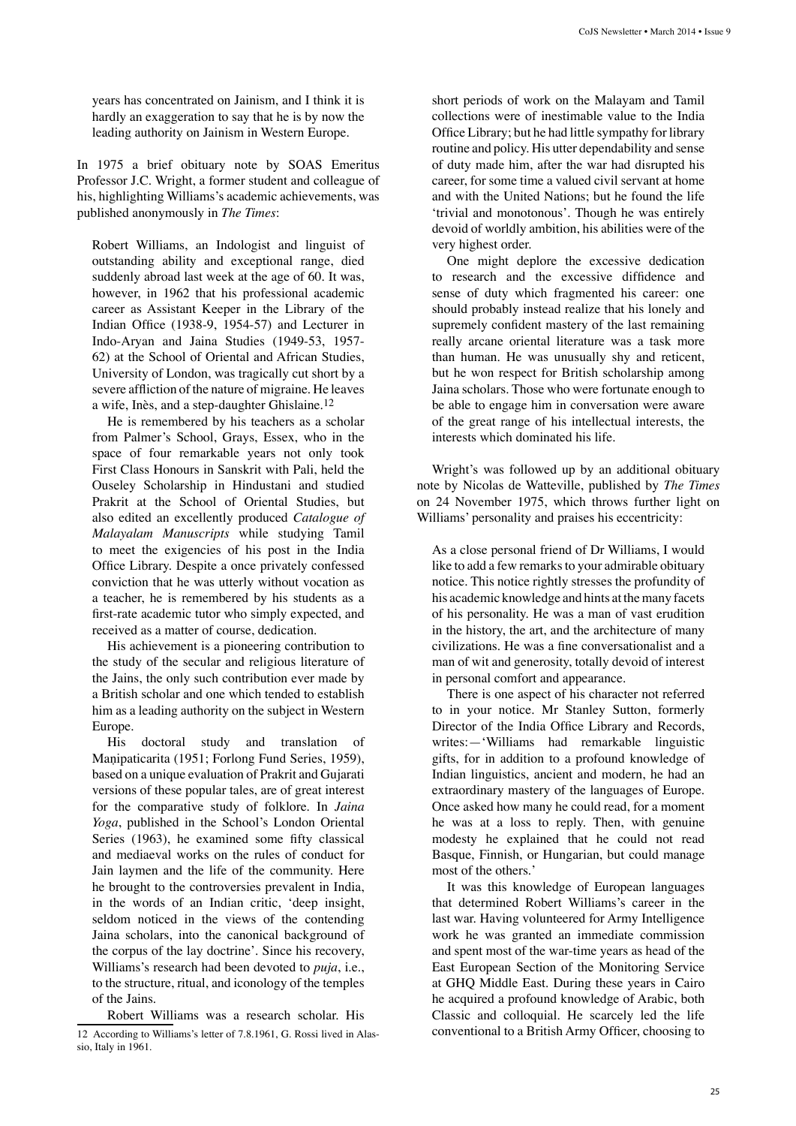years has concentrated on Jainism, and I think it is hardly an exaggeration to say that he is by now the leading authority on Jainism in Western Europe.

In 1975 a brief obituary note by SOAS Emeritus Professor J.C. Wright, a former student and colleague of his, highlighting Williams's academic achievements, was published anonymously in *The Times*:

Robert Williams, an Indologist and linguist of outstanding ability and exceptional range, died suddenly abroad last week at the age of 60. It was, however, in 1962 that his professional academic career as Assistant Keeper in the Library of the Indian Office (1938-9, 1954-57) and Lecturer in Indo-Aryan and Jaina Studies (1949-53, 1957- 62) at the School of Oriental and African Studies, University of London, was tragically cut short by a severe affliction of the nature of migraine. He leaves a wife, Inès, and a step-daughter Ghislaine.12

He is remembered by his teachers as a scholar from Palmer's School, Grays, Essex, who in the space of four remarkable years not only took First Class Honours in Sanskrit with Pali, held the Ouseley Scholarship in Hindustani and studied Prakrit at the School of Oriental Studies, but also edited an excellently produced *Catalogue of Malayalam Manuscripts* while studying Tamil to meet the exigencies of his post in the India Office Library. Despite a once privately confessed conviction that he was utterly without vocation as a teacher, he is remembered by his students as a first-rate academic tutor who simply expected, and received as a matter of course, dedication.

His achievement is a pioneering contribution to the study of the secular and religious literature of the Jains, the only such contribution ever made by a British scholar and one which tended to establish him as a leading authority on the subject in Western Europe.

His doctoral study and translation of Maṇipaticarita (1951; Forlong Fund Series, 1959), based on a unique evaluation of Prakrit and Gujarati versions of these popular tales, are of great interest for the comparative study of folklore. In *Jaina Yoga*, published in the School's London Oriental Series (1963), he examined some fifty classical and mediaeval works on the rules of conduct for Jain laymen and the life of the community. Here he brought to the controversies prevalent in India, in the words of an Indian critic, 'deep insight, seldom noticed in the views of the contending Jaina scholars, into the canonical background of the corpus of the lay doctrine'. Since his recovery, Williams's research had been devoted to *puja*, i.e., to the structure, ritual, and iconology of the temples of the Jains.

Robert Williams was a research scholar. His 12 According to Williams's letter of 7.8.1961, G. Rossi lived in Alassio, Italy in 1961.

short periods of work on the Malayam and Tamil collections were of inestimable value to the India Office Library; but he had little sympathy for library routine and policy. His utter dependability and sense of duty made him, after the war had disrupted his career, for some time a valued civil servant at home and with the United Nations; but he found the life 'trivial and monotonous'. Though he was entirely devoid of worldly ambition, his abilities were of the very highest order.

One might deplore the excessive dedication to research and the excessive diffidence and sense of duty which fragmented his career: one should probably instead realize that his lonely and supremely confident mastery of the last remaining really arcane oriental literature was a task more than human. He was unusually shy and reticent, but he won respect for British scholarship among Jaina scholars. Those who were fortunate enough to be able to engage him in conversation were aware of the great range of his intellectual interests, the interests which dominated his life.

Wright's was followed up by an additional obituary note by Nicolas de Watteville, published by *The Times*  on 24 November 1975, which throws further light on Williams' personality and praises his eccentricity:

As a close personal friend of Dr Williams, I would like to add a few remarks to your admirable obituary notice. This notice rightly stresses the profundity of his academic knowledge and hints at the many facets of his personality. He was a man of vast erudition in the history, the art, and the architecture of many civilizations. He was a fine conversationalist and a man of wit and generosity, totally devoid of interest in personal comfort and appearance.

There is one aspect of his character not referred to in your notice. Mr Stanley Sutton, formerly Director of the India Office Library and Records, writes:—'Williams had remarkable linguistic gifts, for in addition to a profound knowledge of Indian linguistics, ancient and modern, he had an extraordinary mastery of the languages of Europe. Once asked how many he could read, for a moment he was at a loss to reply. Then, with genuine modesty he explained that he could not read Basque, Finnish, or Hungarian, but could manage most of the others.'

It was this knowledge of European languages that determined Robert Williams's career in the last war. Having volunteered for Army Intelligence work he was granted an immediate commission and spent most of the war-time years as head of the East European Section of the Monitoring Service at GHQ Middle East. During these years in Cairo he acquired a profound knowledge of Arabic, both Classic and colloquial. He scarcely led the life conventional to a British Army Officer, choosing to